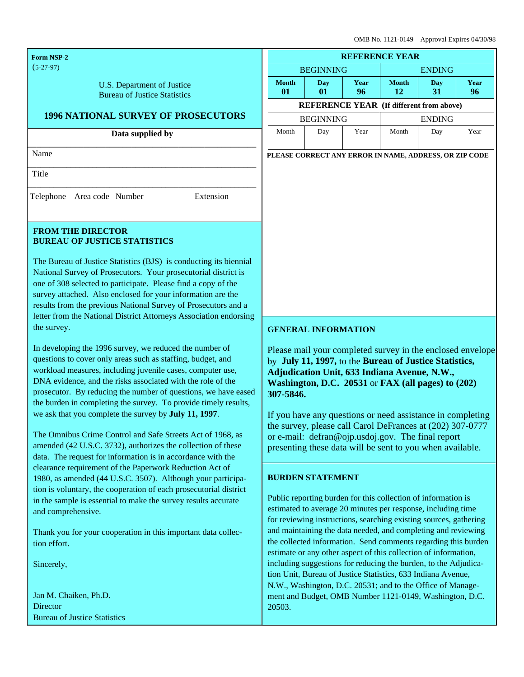OMB No. 1121-0149 Approval Expires 04/30/98

| <b>Form NSP-2</b>                                                                                                                                                                                                                                                                                                                                                                                                                                                                                                                                                                                                                                                                                                                                                                                                                                                                                                                                                                                                                    | <b>REFERENCE YEAR</b>             |                                                                                                                                                                                                                                                                                                                                                                                                                                                                                      |            |                                                         |                  |            |
|--------------------------------------------------------------------------------------------------------------------------------------------------------------------------------------------------------------------------------------------------------------------------------------------------------------------------------------------------------------------------------------------------------------------------------------------------------------------------------------------------------------------------------------------------------------------------------------------------------------------------------------------------------------------------------------------------------------------------------------------------------------------------------------------------------------------------------------------------------------------------------------------------------------------------------------------------------------------------------------------------------------------------------------|-----------------------------------|--------------------------------------------------------------------------------------------------------------------------------------------------------------------------------------------------------------------------------------------------------------------------------------------------------------------------------------------------------------------------------------------------------------------------------------------------------------------------------------|------------|---------------------------------------------------------|------------------|------------|
| $(5-27-97)$                                                                                                                                                                                                                                                                                                                                                                                                                                                                                                                                                                                                                                                                                                                                                                                                                                                                                                                                                                                                                          | <b>BEGINNING</b><br><b>ENDING</b> |                                                                                                                                                                                                                                                                                                                                                                                                                                                                                      |            |                                                         |                  |            |
| U.S. Department of Justice<br><b>Bureau of Justice Statistics</b>                                                                                                                                                                                                                                                                                                                                                                                                                                                                                                                                                                                                                                                                                                                                                                                                                                                                                                                                                                    | <b>Month</b><br>01                | Day<br>01                                                                                                                                                                                                                                                                                                                                                                                                                                                                            | Year<br>96 | <b>Month</b><br>12                                      | <b>Day</b><br>31 | Year<br>96 |
|                                                                                                                                                                                                                                                                                                                                                                                                                                                                                                                                                                                                                                                                                                                                                                                                                                                                                                                                                                                                                                      |                                   | <b>REFERENCE YEAR (If different from above)</b>                                                                                                                                                                                                                                                                                                                                                                                                                                      |            |                                                         |                  |            |
| <b>1996 NATIONAL SURVEY OF PROSECUTORS</b>                                                                                                                                                                                                                                                                                                                                                                                                                                                                                                                                                                                                                                                                                                                                                                                                                                                                                                                                                                                           | <b>BEGINNING</b><br><b>ENDING</b> |                                                                                                                                                                                                                                                                                                                                                                                                                                                                                      |            |                                                         |                  |            |
| Data supplied by                                                                                                                                                                                                                                                                                                                                                                                                                                                                                                                                                                                                                                                                                                                                                                                                                                                                                                                                                                                                                     | Month                             | Day                                                                                                                                                                                                                                                                                                                                                                                                                                                                                  | Year       | Month                                                   | Day              | Year       |
| Name                                                                                                                                                                                                                                                                                                                                                                                                                                                                                                                                                                                                                                                                                                                                                                                                                                                                                                                                                                                                                                 |                                   | PLEASE CORRECT ANY ERROR IN NAME, ADDRESS, OR ZIP CODE                                                                                                                                                                                                                                                                                                                                                                                                                               |            |                                                         |                  |            |
| Title                                                                                                                                                                                                                                                                                                                                                                                                                                                                                                                                                                                                                                                                                                                                                                                                                                                                                                                                                                                                                                |                                   |                                                                                                                                                                                                                                                                                                                                                                                                                                                                                      |            |                                                         |                  |            |
| Telephone   Area code   Number<br>Extension                                                                                                                                                                                                                                                                                                                                                                                                                                                                                                                                                                                                                                                                                                                                                                                                                                                                                                                                                                                          |                                   |                                                                                                                                                                                                                                                                                                                                                                                                                                                                                      |            |                                                         |                  |            |
| <b>FROM THE DIRECTOR</b><br><b>BUREAU OF JUSTICE STATISTICS</b>                                                                                                                                                                                                                                                                                                                                                                                                                                                                                                                                                                                                                                                                                                                                                                                                                                                                                                                                                                      |                                   |                                                                                                                                                                                                                                                                                                                                                                                                                                                                                      |            |                                                         |                  |            |
| The Bureau of Justice Statistics (BJS) is conducting its biennial<br>National Survey of Prosecutors. Your prosecutorial district is<br>one of 308 selected to participate. Please find a copy of the<br>survey attached. Also enclosed for your information are the<br>results from the previous National Survey of Prosecutors and a<br>letter from the National District Attorneys Association endorsing                                                                                                                                                                                                                                                                                                                                                                                                                                                                                                                                                                                                                           |                                   |                                                                                                                                                                                                                                                                                                                                                                                                                                                                                      |            |                                                         |                  |            |
| the survey.                                                                                                                                                                                                                                                                                                                                                                                                                                                                                                                                                                                                                                                                                                                                                                                                                                                                                                                                                                                                                          | <b>GENERAL INFORMATION</b>        |                                                                                                                                                                                                                                                                                                                                                                                                                                                                                      |            |                                                         |                  |            |
| In developing the 1996 survey, we reduced the number of<br>questions to cover only areas such as staffing, budget, and<br>workload measures, including juvenile cases, computer use,<br>DNA evidence, and the risks associated with the role of the<br>prosecutor. By reducing the number of questions, we have eased<br>the burden in completing the survey. To provide timely results,<br>we ask that you complete the survey by July 11, 1997.<br>The Omnibus Crime Control and Safe Streets Act of 1968, as<br>amended (42 U.S.C. 3732), authorizes the collection of these<br>data. The request for information is in accordance with the<br>clearance requirement of the Paperwork Reduction Act of<br>1980, as amended (44 U.S.C. 3507). Although your participa-<br>tion is voluntary, the cooperation of each prosecutorial district<br>in the sample is essential to make the survey results accurate<br>and comprehensive.<br>Thank you for your cooperation in this important data collec-<br>tion effort.<br>Sincerely, |                                   | Please mail your completed survey in the enclosed envelope<br>by July 11, 1997, to the Bureau of Justice Statistics,<br>Adjudication Unit, 633 Indiana Avenue, N.W.,<br>Washington, D.C. 20531 or FAX (all pages) to (202)<br>307-5846.<br>If you have any questions or need assistance in completing<br>the survey, please call Carol DeFrances at (202) 307-0777<br>or e-mail: defran@ojp.usdoj.gov. The final report<br>presenting these data will be sent to you when available. |            |                                                         |                  |            |
|                                                                                                                                                                                                                                                                                                                                                                                                                                                                                                                                                                                                                                                                                                                                                                                                                                                                                                                                                                                                                                      |                                   |                                                                                                                                                                                                                                                                                                                                                                                                                                                                                      |            |                                                         |                  |            |
|                                                                                                                                                                                                                                                                                                                                                                                                                                                                                                                                                                                                                                                                                                                                                                                                                                                                                                                                                                                                                                      |                                   | Jan M. Chaiken, Ph.D.<br>Director<br><b>Bureau of Justice Statistics</b>                                                                                                                                                                                                                                                                                                                                                                                                             | 20503.     | ment and Budget, OMB Number 1121-0149, Washington, D.C. |                  |            |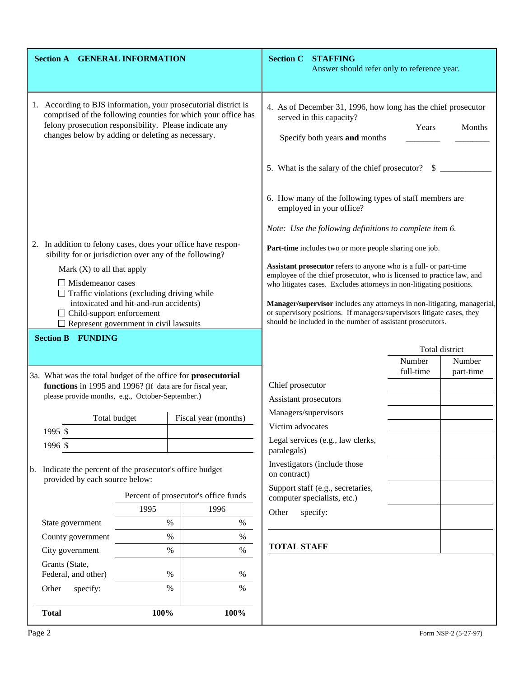| <b>Section A GENERAL INFORMATION</b>                                                                                                                                                                                                                                                                     |                                      |                                                                                                                                                                                                                                                                                                                                                                                                                                         | <b>Section C STAFFING</b><br>Answer should refer only to reference year.                                                                       |                          |           |
|----------------------------------------------------------------------------------------------------------------------------------------------------------------------------------------------------------------------------------------------------------------------------------------------------------|--------------------------------------|-----------------------------------------------------------------------------------------------------------------------------------------------------------------------------------------------------------------------------------------------------------------------------------------------------------------------------------------------------------------------------------------------------------------------------------------|------------------------------------------------------------------------------------------------------------------------------------------------|--------------------------|-----------|
| According to BJS information, your prosecutorial district is<br>comprised of the following counties for which your office has<br>felony prosecution responsibility. Please indicate any<br>changes below by adding or deleting as necessary.                                                             |                                      | 4. As of December 31, 1996, how long has the chief prosecutor<br>served in this capacity?<br>Years<br>Months<br>Specify both years and months<br>5. What is the salary of the chief prosecutor?<br>-S                                                                                                                                                                                                                                   |                                                                                                                                                |                          |           |
|                                                                                                                                                                                                                                                                                                          |                                      |                                                                                                                                                                                                                                                                                                                                                                                                                                         | 6. How many of the following types of staff members are<br>employed in your office?<br>Note: Use the following definitions to complete item 6. |                          |           |
| 2. In addition to felony cases, does your office have respon-                                                                                                                                                                                                                                            |                                      |                                                                                                                                                                                                                                                                                                                                                                                                                                         | Part-time includes two or more people sharing one job.                                                                                         |                          |           |
| sibility for or jurisdiction over any of the following?<br>Mark $(X)$ to all that apply<br>$\Box$ Misdemeanor cases<br>$\Box$ Traffic violations (excluding driving while<br>intoxicated and hit-and-run accidents)<br>$\Box$ Child-support enforcement<br>$\Box$ Represent government in civil lawsuits |                                      | Assistant prosecutor refers to anyone who is a full- or part-time<br>employee of the chief prosecutor, who is licensed to practice law, and<br>who litigates cases. Excludes attorneys in non-litigating positions.<br>Manager/supervisor includes any attorneys in non-litigating, managerial,<br>or supervisory positions. If managers/supervisors litigate cases, they<br>should be included in the number of assistant prosecutors. |                                                                                                                                                |                          |           |
| <b>Section B FUNDING</b>                                                                                                                                                                                                                                                                                 |                                      |                                                                                                                                                                                                                                                                                                                                                                                                                                         |                                                                                                                                                |                          |           |
|                                                                                                                                                                                                                                                                                                          |                                      |                                                                                                                                                                                                                                                                                                                                                                                                                                         |                                                                                                                                                | Total district<br>Number | Number    |
| 3a. What was the total budget of the office for prosecutorial<br>functions in 1995 and 1996? (If data are for fiscal year,<br>please provide months, e.g., October-September.)                                                                                                                           |                                      | Chief prosecutor<br>Assistant prosecutors                                                                                                                                                                                                                                                                                                                                                                                               |                                                                                                                                                | full-time                | part-time |
| Total budget                                                                                                                                                                                                                                                                                             | Fiscal year (months)                 | Managers/supervisors<br>Victim advocates                                                                                                                                                                                                                                                                                                                                                                                                |                                                                                                                                                |                          |           |
| 1995 \$<br>1996 \$                                                                                                                                                                                                                                                                                       |                                      | paralegals)                                                                                                                                                                                                                                                                                                                                                                                                                             | Legal services (e.g., law clerks,                                                                                                              |                          |           |
| b. Indicate the percent of the prosecutor's office budget<br>provided by each source below:                                                                                                                                                                                                              |                                      | on contract)                                                                                                                                                                                                                                                                                                                                                                                                                            | Investigators (include those                                                                                                                   |                          |           |
|                                                                                                                                                                                                                                                                                                          | Percent of prosecutor's office funds |                                                                                                                                                                                                                                                                                                                                                                                                                                         | Support staff (e.g., secretaries,                                                                                                              |                          |           |
| 1995                                                                                                                                                                                                                                                                                                     | 1996                                 | Other — specify:                                                                                                                                                                                                                                                                                                                                                                                                                        | computer specialists, etc.)                                                                                                                    |                          |           |
| State government                                                                                                                                                                                                                                                                                         | $\%$<br>$\%$                         |                                                                                                                                                                                                                                                                                                                                                                                                                                         |                                                                                                                                                |                          |           |
| County government                                                                                                                                                                                                                                                                                        | $\%$<br>$\%$                         |                                                                                                                                                                                                                                                                                                                                                                                                                                         |                                                                                                                                                |                          |           |
| City government                                                                                                                                                                                                                                                                                          | $\%$<br>$\%$                         | <b>TOTAL STAFF</b>                                                                                                                                                                                                                                                                                                                                                                                                                      |                                                                                                                                                |                          |           |
| Grants (State,<br>Federal, and other)                                                                                                                                                                                                                                                                    | %<br>%                               |                                                                                                                                                                                                                                                                                                                                                                                                                                         |                                                                                                                                                |                          |           |
| Other $-$ specify:                                                                                                                                                                                                                                                                                       | $\%$<br>%                            |                                                                                                                                                                                                                                                                                                                                                                                                                                         |                                                                                                                                                |                          |           |
| <b>Total</b>                                                                                                                                                                                                                                                                                             | 100%<br>100%                         |                                                                                                                                                                                                                                                                                                                                                                                                                                         |                                                                                                                                                |                          |           |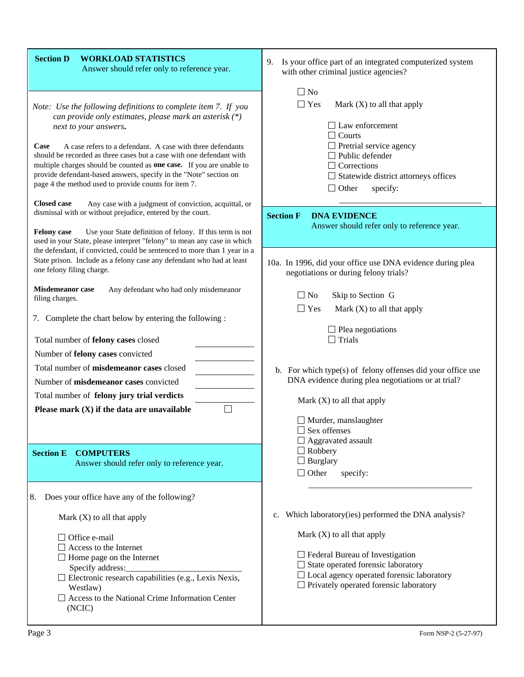| <b>Section D</b><br><b>WORKLOAD STATISTICS</b><br>Answer should refer only to reference year.                                                                                                                                                                                                                                                                                                                                                                                                                                                                                                                                             | 9.<br>Is your office part of an integrated computerized system<br>with other criminal justice agencies?                                                                                                                                                                                                |
|-------------------------------------------------------------------------------------------------------------------------------------------------------------------------------------------------------------------------------------------------------------------------------------------------------------------------------------------------------------------------------------------------------------------------------------------------------------------------------------------------------------------------------------------------------------------------------------------------------------------------------------------|--------------------------------------------------------------------------------------------------------------------------------------------------------------------------------------------------------------------------------------------------------------------------------------------------------|
| Note: Use the following definitions to complete item 7. If you<br>can provide only estimates, please mark an asterisk (*)<br>next to your answers.<br>Case - A case refers to a defendant. A case with three defendants<br>should be recorded as three cases but a case with one defendant with<br>multiple charges should be counted as one case. If you are unable to<br>provide defendant-based answers, specify in the "Note" section on<br>page 4 the method used to provide counts for item 7.<br>Closed case - Any case with a judgment of conviction, acquittal, or<br>dismissal with or without prejudice, entered by the court. | $\Box$ No<br>$\Box$ Yes — Mark (X) to all that apply<br>$\Box$ Law enforcement<br>$\Box$ Courts<br>$\Box$ Pretrial service agency<br>$\Box$ Public defender<br>$\Box$ Corrections<br>$\Box$ Statewide district attorneys offices<br>$\Box$ Other — specify:<br><b>Section F</b><br><b>DNA EVIDENCE</b> |
| Felony case — Use your State definition of felony. If this term is not<br>used in your State, please interpret "felony" to mean any case in which                                                                                                                                                                                                                                                                                                                                                                                                                                                                                         | Answer should refer only to reference year.                                                                                                                                                                                                                                                            |
| the defendant, if convicted, could be sentenced to more than 1 year in a<br>State prison. Include as a felony case any defendant who had at least<br>one felony filing charge.                                                                                                                                                                                                                                                                                                                                                                                                                                                            | 10a. In 1996, did your office use DNA evidence during plea<br>negotiations or during felony trials?                                                                                                                                                                                                    |
| Misdemeanor case - Any defendant who had only misdemeanor<br>filing charges.                                                                                                                                                                                                                                                                                                                                                                                                                                                                                                                                                              | $\Box$ No — Skip to Section G<br>$\Box$ Yes — Mark (X) to all that apply                                                                                                                                                                                                                               |
| 7. Complete the chart below by entering the following :                                                                                                                                                                                                                                                                                                                                                                                                                                                                                                                                                                                   | $\Box$ Plea negotiations<br>$\Box$ Trials                                                                                                                                                                                                                                                              |
| Total number of felony cases closed<br>Number of felony cases convicted                                                                                                                                                                                                                                                                                                                                                                                                                                                                                                                                                                   |                                                                                                                                                                                                                                                                                                        |
| Total number of misdemeanor cases closed<br>Number of misdemeanor cases convicted<br>Total number of felony jury trial verdicts                                                                                                                                                                                                                                                                                                                                                                                                                                                                                                           | b. For which type(s) of felony offenses did your office use<br>DNA evidence during plea negotiations or at trial?<br>Mark $(X)$ to all that apply                                                                                                                                                      |
| Please mark $(X)$ if the data are unavailable                                                                                                                                                                                                                                                                                                                                                                                                                                                                                                                                                                                             | $\Box$ Murder, manslaughter<br>Sex offenses<br>$\Box$ Aggravated assault                                                                                                                                                                                                                               |
| <b>COMPUTERS</b><br><b>Section E</b><br>Answer should refer only to reference year.                                                                                                                                                                                                                                                                                                                                                                                                                                                                                                                                                       | $\Box$ Robbery<br>$\Box$ Burglary<br>$\Box$ Other — specify:                                                                                                                                                                                                                                           |
| Does your office have any of the following?<br>8.                                                                                                                                                                                                                                                                                                                                                                                                                                                                                                                                                                                         | Which laboratory(ies) performed the DNA analysis?                                                                                                                                                                                                                                                      |
| Mark $(X)$ to all that apply<br>$\Box$ Office e-mail<br>$\Box$ Access to the Internet<br>$\Box$ Home page on the Internet<br>Specify address:<br>$\square$ Electronic research capabilities (e.g., Lexis Nexis,<br>Westlaw)<br>$\Box$ Access to the National Crime Information Center<br>(NCIC)                                                                                                                                                                                                                                                                                                                                           | c.<br>Mark $(X)$ to all that apply<br>$\Box$ Federal Bureau of Investigation<br>$\Box$ State operated forensic laboratory<br>$\Box$ Local agency operated forensic laboratory<br>$\Box$ Privately operated forensic laboratory                                                                         |